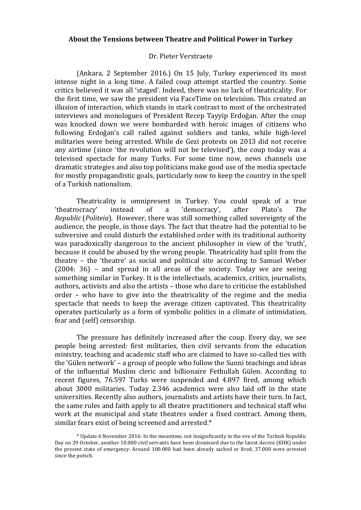## **About the Tensions between Theatre and Political Power in Turkey**

### Dr. Pieter Verstraete

(Ankara, 2 September 2016.) On 15 July, Turkey experienced its most intense night in a long time. A failed coup attempt startled the country. Some critics believed it was all 'staged'. Indeed, there was no lack of theatricality. For the first time, we saw the president via FaceTime on television. This created an illusion of interaction, which stands in stark contrast to most of the orchestrated interviews and monologues of President Recep Tayyip Erdoğan. After the coup was knocked down we were bombarded with heroic images of citizens who following Erdoğan's call railed against soldiers and tanks, while high-level militaries were being arrested. While de Gezi protests on 2013 did not receive any airtime (since 'the revolution will not be televised'), the coup today was a televised spectacle for many Turks. For some time now, news channels use dramatic strategies and also top politicians make good use of the media spectacle for mostly propagandistic goals, particularly now to keep the country in the spell of a Turkish nationalism.

Theatricality is omnipresent in Turkey. You could speak of a true 'theatrocracy' instead of a 'democracy', after Plato's *The Republic* (*Politeia*). However, there was still something called sovereignty of the audience, the people, in those days. The fact that theatre had the potential to be subversive and could disturb the established order with its traditional authority was paradoxically dangerous to the ancient philosopher in view of the 'truth', because it could be abused by the wrong people. Theatricality had split from the theatre – the 'theatre' as social and political site according to Samuel Weber  $(2004: 36)$  – and spread in all areas of the society. Today we are seeing something similar in Turkey. It is the intellectuals, academics, critics, journalists, authors, activists and also the artists - those who dare to criticise the established order – who have to give into the theatricality of the regime and the media spectacle that needs to keep the average citizen captivated. This theatricality operates particularly as a form of symbolic politics in a climate of intimidation, fear and (self) censorship.

The pressure has definitely increased after the coup. Every day, we see people being arrested: first militaries, then civil servants from the education ministry, teaching and academic staff who are claimed to have so-called ties with the 'Gülen network' – a group of people who follow the Sunni teachings and ideas of the influential Muslim cleric and billionaire Fethullah Gülen. According to recent figures, 76.597 Turks were suspended and 4.897 fired, among which about 3000 militaries. Today 2.346 academics were also laid off in the state universities. Recently also authors, journalists and artists have their turn. In fact, the same rules and faith apply to all theatre practitioners and technical staff who work at the municipal and state theatres under a fixed contract. Among them, similar fears exist of being screened and arrested.\*

<sup>\*</sup> Update 6 November 2016: In the meantime, not insignificantly in the eve of the Turkish Republic Day on 29 October, another 10.000 civil servants have been dismissed due to the latest decree (KHK) under the present state of emergency. Around 100.000 had been already sacked or fired, 37.000 were arrested since the putsch.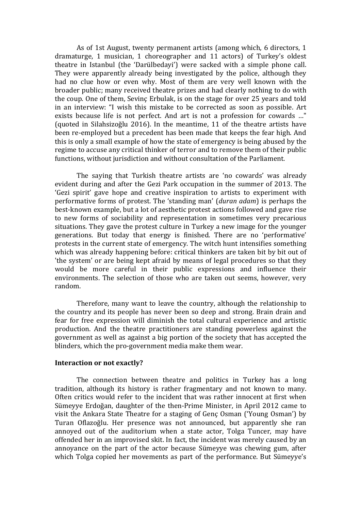As of 1st August, twenty permanent artists (among which, 6 directors, 1) dramaturge, 1 musician, 1 choreographer and 11 actors) of Turkey's oldest theatre in Istanbul (the 'Darülbedayi') were sacked with a simple phone call. They were apparently already being investigated by the police, although they had no clue how or even why. Most of them are very well known with the broader public; many received theatre prizes and had clearly nothing to do with the coup. One of them, Sevinc Erbulak, is on the stage for over 25 years and told in an interview: "I wish this mistake to be corrected as soon as possible. Art exists because life is not perfect. And art is not a profession for cowards ..." (quoted in Silahsizoğlu 2016). In the meantime, 11 of the theatre artists have been re-employed but a precedent has been made that keeps the fear high. And this is only a small example of how the state of emergency is being abused by the regime to accuse any critical thinker of terror and to remove them of their public functions, without jurisdiction and without consultation of the Parliament.

The saying that Turkish theatre artists are 'no cowards' was already evident during and after the Gezi Park occupation in the summer of 2013. The 'Gezi spirit' gave hope and creative inspiration to artists to experiment with performative forms of protest. The 'standing man' (*duran adam*) is perhaps the best-known example, but a lot of aesthetic protest actions followed and gave rise to new forms of sociability and representation in sometimes very precarious situations. They gave the protest culture in Turkey a new image for the younger generations. But today that energy is finished. There are no 'performative' protests in the current state of emergency. The witch hunt intensifies something which was already happening before: critical thinkers are taken bit by bit out of 'the system' or are being kept afraid by means of legal procedures so that they would be more careful in their public expressions and influence their environments. The selection of those who are taken out seems, however, very random.

Therefore, many want to leave the country, although the relationship to the country and its people has never been so deep and strong. Brain drain and fear for free expression will diminish the total cultural experience and artistic production. And the theatre practitioners are standing powerless against the government as well as against a big portion of the society that has accepted the blinders, which the pro-government media make them wear.

## **Interaction or not exactly?**

The connection between theatre and politics in Turkey has a long tradition, although its history is rather fragmentary and not known to many. Often critics would refer to the incident that was rather innocent at first when Sümeyye Erdoğan, daughter of the then-Prime Minister, in April 2012 came to visit the Ankara State Theatre for a staging of Genc Osman ('Young Osman') by Turan Oflazoğlu. Her presence was not announced, but apparently she ran annoyed out of the auditorium when a state actor, Tolga Tuncer, may have offended her in an improvised skit. In fact, the incident was merely caused by an annoyance on the part of the actor because Sümeyye was chewing gum, after which Tolga copied her movements as part of the performance. But Sümeyye's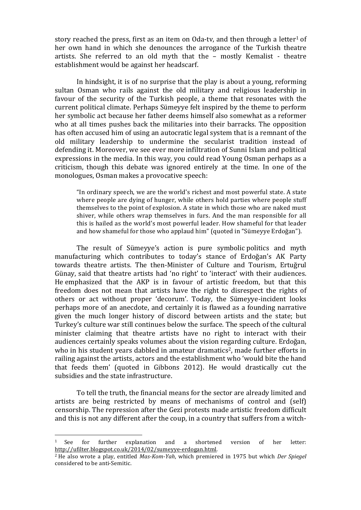story reached the press, first as an item on Oda-ty, and then through a letter<sup>1</sup> of her own hand in which she denounces the arrogance of the Turkish theatre artists. She referred to an old myth that the - mostly Kemalist - theatre establishment would be against her headscarf.

In hindsight, it is of no surprise that the play is about a young, reforming sultan Osman who rails against the old military and religious leadership in favour of the security of the Turkish people, a theme that resonates with the current political climate. Perhaps Sümeyye felt inspired by the theme to perform her symbolic act because her father deems himself also somewhat as a reformer who at all times pushes back the militaries into their barracks. The opposition has often accused him of using an autocratic legal system that is a remnant of the old military leadership to undermine the secularist tradition instead of defending it. Moreover, we see ever more infiltration of Sunni Islam and political expressions in the media. In this way, you could read Young Osman perhaps as a criticism, though this debate was ignored entirely at the time. In one of the monologues, Osman makes a provocative speech:

"In ordinary speech, we are the world's richest and most powerful state. A state where people are dying of hunger, while others hold parties where people stuff themselves to the point of explosion. A state in which those who are naked must shiver, while others wrap themselves in furs. And the man responsible for all this is hailed as the world's most powerful leader. How shameful for that leader and how shameful for those who applaud him" (quoted in "Sümeyye Erdoğan").

The result of Sümeyye's action is pure symbolic politics and myth manufacturing which contributes to today's stance of Erdoğan's AK Party towards theatre artists. The then-Minister of Culture and Tourism, Ertuğrul Günay, said that theatre artists had 'no right' to 'interact' with their audiences. He emphasized that the AKP is in favour of artistic freedom, but that this freedom does not mean that artists have the right to disrespect the rights of others or act without proper 'decorum'. Today, the Sümeyye-incident looks perhaps more of an anecdote, and certainly it is flawed as a founding narrative given the much longer history of discord between artists and the state; but Turkey's culture war still continues below the surface. The speech of the cultural minister claiming that theatre artists have no right to interact with their audiences certainly speaks volumes about the vision regarding culture. Erdoğan, who in his student vears dabbled in amateur dramatics<sup>2</sup>, made further efforts in railing against the artists, actors and the establishment who 'would bite the hand that feeds them' (quoted in Gibbons 2012). He would drastically cut the subsidies and the state infrastructure.

To tell the truth, the financial means for the sector are already limited and artists are being restricted by means of mechanisms of control and (self) censorship. The repression after the Gezi protests made artistic freedom difficult and this is not any different after the coup, in a country that suffers from a witch-

 

 $1$  See for further explanation and a shortened version of her letter: http://ufilter.blogspot.co.uk/2014/02/sumeyye-erdogan.html.

<sup>&</sup>lt;sup>2</sup> He also wrote a play, entitled *Mas-Kom-Yah*, which premiered in 1975 but which *Der Spiegel* considered to be anti-Semitic.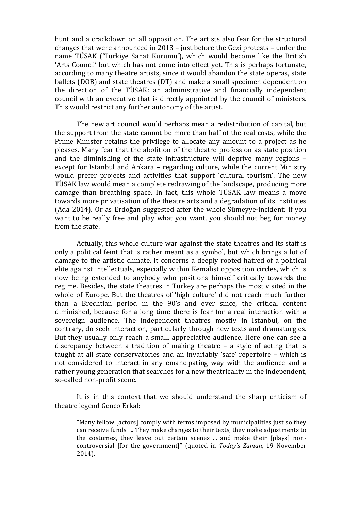hunt and a crackdown on all opposition. The artists also fear for the structural changes that were announced in 2013 – just before the Gezi protests – under the name TÜSAK ('Türkiye Sanat Kurumu'), which would become like the British 'Arts Council' but which has not come into effect vet. This is perhaps fortunate. according to many theatre artists, since it would abandon the state operas, state ballets (DOB) and state theatres (DT) and make a small specimen dependent on the direction of the TÜSAK: an administrative and financially independent council with an executive that is directly appointed by the council of ministers. This would restrict any further autonomy of the artist.

The new art council would perhaps mean a redistribution of capital, but the support from the state cannot be more than half of the real costs, while the Prime Minister retains the privilege to allocate any amount to a project as he pleases. Many fear that the abolition of the theatre profession as state position and the diminishing of the state infrastructure will deprive many regions  $$ except for Istanbul and Ankara – regarding culture, while the current Ministry would prefer projects and activities that support 'cultural tourism'. The new TÜSAK law would mean a complete redrawing of the landscape, producing more damage than breathing space. In fact, this whole TÜSAK law means a move towards more privatisation of the theatre arts and a degradation of its institutes (Ada 2014). Or as Erdoğan suggested after the whole Sümeyye-incident: if you want to be really free and play what you want, you should not beg for money from the state.

Actually, this whole culture war against the state theatres and its staff is only a political feint that is rather meant as a symbol, but which brings a lot of damage to the artistic climate. It concerns a deeply rooted hatred of a political elite against intellectuals, especially within Kemalist opposition circles, which is now being extended to anybody who positions himself critically towards the regime. Besides, the state theatres in Turkey are perhaps the most visited in the whole of Europe. But the theatres of 'high culture' did not reach much further than a Brechtian period in the 90's and ever since, the critical content diminished, because for a long time there is fear for a real interaction with a sovereign audience. The independent theatres mostly in Istanbul, on the contrary, do seek interaction, particularly through new texts and dramaturgies. But they usually only reach a small, appreciative audience. Here one can see a discrepancy between a tradition of making theatre  $-$  a style of acting that is taught at all state conservatories and an invariably 'safe' repertoire - which is not considered to interact in any emancipating way with the audience and a rather young generation that searches for a new theatricality in the independent, so-called non-profit scene.

It is in this context that we should understand the sharp criticism of theatre legend Genco Erkal:

"Many fellow [actors] comply with terms imposed by municipalities just so they can receive funds. ... They make changes to their texts, they make adjustments to the costumes, they leave out certain scenes ... and make their [plays] noncontroversial [for the government]" (quoted in *Today's Zaman*, 19 November 2014).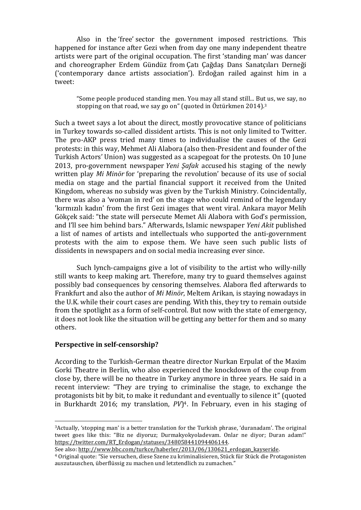Also in the 'free' sector the government imposed restrictions. This happened for instance after Gezi when from day one many independent theatre artists were part of the original occupation. The first 'standing man' was dancer and choreographer Erdem Gündüz from Çatı Çağdaş Dans Sanatçıları Derneği ('contemporary dance artists association'). Erdoğan railed against him in a tweet: 

"Some people produced standing men. You may all stand still... But us, we say, no stopping on that road, we say go on" (quoted in Öztürkmen 2014).<sup>3</sup>

Such a tweet says a lot about the direct, mostly provocative stance of politicians in Turkey towards so-called dissident artists. This is not only limited to Twitter. The pro-AKP press tried many times to individualise the causes of the Gezi protests: in this way, Mehmet Ali Alabora (also then-President and founder of the Turkish Actors' Union) was suggested as a scapegoat for the protests. On 10 June 2013, pro-government newspaper *Yeni Safak* accused his staging of the newly written play *Mi Minör* for 'preparing the revolution' because of its use of social media on stage and the partial financial support it received from the United Kingdom, whereas no subsidy was given by the Turkish Ministry. Coincidentally, there was also a 'woman in red' on the stage who could remind of the legendary 'kırmızılı kadın' from the first Gezi images that went viral. Ankara mayor Melih Gökcek said: "the state will persecute Memet Ali Alabora with God's permission, and I'll see him behind bars." Afterwards, Islamic newspaper *Yeni Akit* published a list of names of artists and intellectuals who supported the anti-government protests with the aim to expose them. We have seen such public lists of dissidents in newspapers and on social media increasing ever since.

Such lynch-campaigns give a lot of visibility to the artist who willy-nilly still wants to keep making art. Therefore, many try to guard themselves against possibly bad consequences by censoring themselves. Alabora fled afterwards to Frankfurt and also the author of *Mi Minör*, Meltem Arikan, is staying nowadays in the U.K. while their court cases are pending. With this, they try to remain outside from the spotlight as a form of self-control. But now with the state of emergency, it does not look like the situation will be getting any better for them and so many others. 

# **Perspective in self-censorship?**

 

According to the Turkish-German theatre director Nurkan Erpulat of the Maxim Gorki Theatre in Berlin, who also experienced the knockdown of the coup from close by, there will be no theatre in Turkey anymore in three years. He said in a recent interview: "They are trying to criminalise the stage, to exchange the protagonists bit by bit, to make it redundant and eventually to silence it" (quoted in Burkhardt 2016; my translation,  $PV$ <sup>4</sup>. In February, even in his staging of

<sup>&</sup>lt;sup>3</sup>Actually, 'stopping man' is a better translation for the Turkish phrase, 'duranadam'. The original tweet goes like this: "Biz ne diyoruz; Durmakyokyoladevam. Onlar ne diyor; Duran adam!" https://twitter.com/RT\_Erdogan/statuses/348058441094406144. 

See also: http://www.bbc.com/turkce/haberler/2013/06/130621\_erdogan\_kayseride.

<sup>&</sup>lt;sup>4</sup> Original quote: "Sie versuchen, diese Szene zu kriminalisieren, Stück für Stück die Protagonisten auszutauschen, überflüssig zu machen und letztendlich zu zumachen."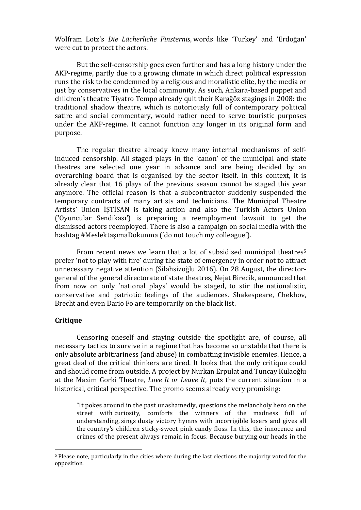Wolfram Lotz's *Die Lächerliche Finsternis*, words like 'Turkey' and 'Erdoğan' were cut to protect the actors.

But the self-censorship goes even further and has a long history under the AKP-regime, partly due to a growing climate in which direct political expression runs the risk to be condemned by a religious and moralistic elite, by the media or just by conservatives in the local community. As such, Ankara-based puppet and children's theatre Tivatro Tempo already quit their Karağöz stagings in 2008: the traditional shadow theatre, which is notoriously full of contemporary political satire and social commentary, would rather need to serve touristic purposes under the AKP-regime. It cannot function any longer in its original form and purpose.

The regular theatre already knew many internal mechanisms of selfinduced censorship. All staged plays in the 'canon' of the municipal and state theatres are selected one year in advance and are being decided by an overarching board that is organised by the sector itself. In this context, it is already clear that 16 plays of the previous season cannot be staged this year anymore. The official reason is that a subcontractor suddenly suspended the temporary contracts of many artists and technicians. The Municipal Theatre Artists' Union ISTISAN is taking action and also the Turkish Actors Union ('Oyuncular Sendikası') is preparing a reemployment lawsuit to get the dismissed actors reemployed. There is also a campaign on social media with the hashtag #MeslektaşımaDokunma ('do not touch my colleague').

From recent news we learn that a lot of subsidised municipal theatres<sup>5</sup> prefer 'not to play with fire' during the state of emergency in order not to attract unnecessary negative attention (Silahsizoğlu 2016). On 28 August, the directorgeneral of the general directorate of state theatres, Nejat Birecik, announced that from now on only 'national plays' would be staged, to stir the nationalistic, conservative and patriotic feelings of the audiences. Shakespeare, Chekhov, Brecht and even Dario Fo are temporarily on the black list.

### **Critique**

 

Censoring oneself and staving outside the spotlight are, of course, all necessary tactics to survive in a regime that has become so unstable that there is only absolute arbitrariness (and abuse) in combatting invisible enemies. Hence, a great deal of the critical thinkers are tired. It looks that the only critique could and should come from outside. A project by Nurkan Erpulat and Tuncay Kulaoğlu at the Maxim Gorki Theatre, *Love It or Leave It*, puts the current situation in a historical, critical perspective. The promo seems already very promising:

"It pokes around in the past unashamedly, questions the melancholy hero on the street with curiosity, comforts the winners of the madness full of understanding, sings dusty victory hymns with incorrigible losers and gives all the country's children sticky-sweet pink candy floss. In this, the innocence and crimes of the present always remain in focus. Because burying our heads in the

<sup>&</sup>lt;sup>5</sup> Please note, particularly in the cities where during the last elections the majority voted for the opposition.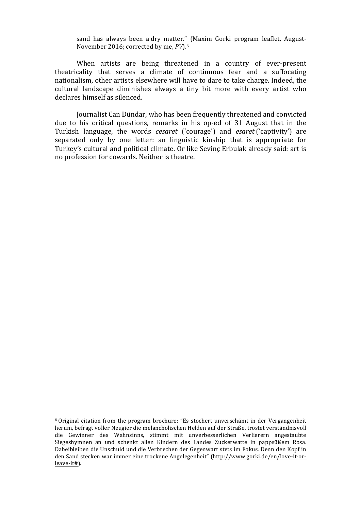sand has always been a dry matter." (Maxim Gorki program leaflet, August-November 2016; corrected by me, *PV*).<sup>6</sup>

When artists are being threatened in a country of ever-present theatricality that serves a climate of continuous fear and a suffocating nationalism, other artists elsewhere will have to dare to take charge. Indeed, the cultural landscape diminishes always a tiny bit more with every artist who declares himself as silenced.

Journalist Can Dündar, who has been frequently threatened and convicted due to his critical questions, remarks in his op-ed of 31 August that in the Turkish language, the words *cesaret* ('courage') and *esaret* ('captivity') are separated only by one letter: an linguistic kinship that is appropriate for Turkey's cultural and political climate. Or like Sevinç Erbulak already said: art is no profession for cowards. Neither is theatre.

 

 $6$  Original citation from the program brochure: "Es stochert unverschämt in der Vergangenheit herum, befragt voller Neugier die melancholischen Helden auf der Straße, tröstet verständnisvoll die Gewinner des Wahnsinns, stimmt mit unverbesserlichen Verlierern angestaubte Siegeshymnen an und schenkt allen Kindern des Landes Zuckerwatte in pappsüßem Rosa. Dabeibleiben die Unschuld und die Verbrechen der Gegenwart stets im Fokus. Denn den Kopf in den Sand stecken war immer eine trockene Angelegenheit" (http://www.gorki.de/en/love-it-orleave-it#).